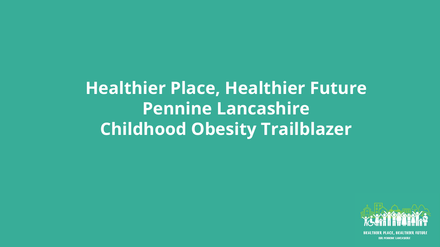## **Healthier Place, Healthier Future Pennine Lancashire Childhood Obesity Trailblazer**

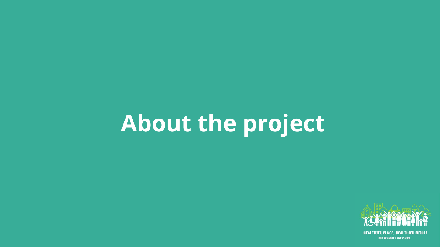# **About the project**

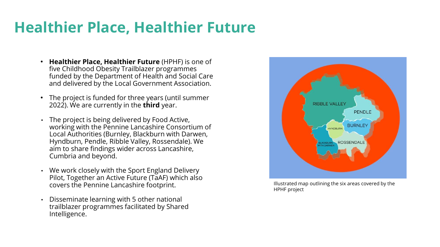### **Healthier Place, Healthier Future**

- **Healthier Place, Healthier Future** (HPHF) is one of five Childhood Obesity Trailblazer programmes funded by the Department of Health and Social Care and delivered by the Local Government Association.
- The project is funded for three years (until summer 2022). We are currently in the **third** year.
- The project is being delivered by Food Active, working with the Pennine Lancashire Consortium of Local Authorities (Burnley, Blackburn with Darwen, Hyndburn, Pendle, Ribble Valley, Rossendale). We aim to share findings wider across Lancashire, Cumbria and beyond.
- We work closely with the Sport England Delivery Pilot, Together an Active Future (TaAF) which also covers the Pennine Lancashire footprint.
- Disseminate learning with 5 other national trailblazer programmes facilitated by Shared Intelligence.



Illustrated map outlining the six areas covered by the HPHF project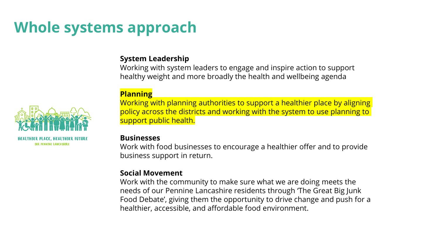### **Whole systems approach**

#### **System Leadership**

Working with system leaders to engage and inspire action to support healthy weight and more broadly the health and wellbeing agenda

#### **Planning**

Working with planning authorities to support a healthier place by aligning policy across the districts and working with the system to use planning to support public health.

#### **Businesses**

Work with food businesses to encourage a healthier offer and to provide business support in return.

#### **Social Movement**

Work with the community to make sure what we are doing meets the needs of our Pennine Lancashire residents through 'The Great Big Junk Food Debate', giving them the opportunity to drive change and push for a healthier, accessible, and affordable food environment.



**OUR PENNINE LANCASHIRE**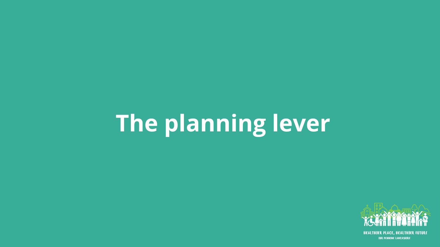# **The planning lever**

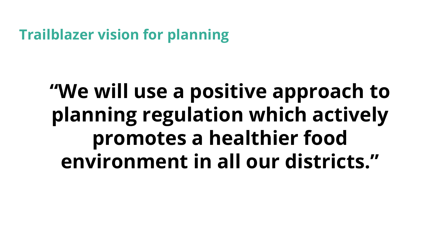**Trailblazer vision for planning** 

## **"We will use a positive approach to planning regulation which actively promotes a healthier food environment in all our districts."**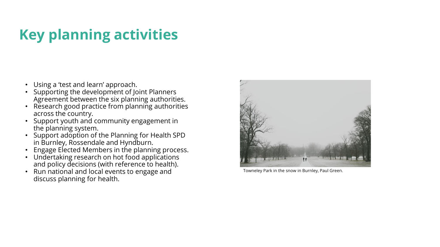## **Key planning activities**

- Using a 'test and learn' approach.
- Supporting the development of Joint Planners Agreement between the six planning authorities.
- Research good practice from planning authorities across the country.
- Support youth and community engagement in the planning system.
- Support adoption of the Planning for Health SPD in Burnley, Rossendale and Hyndburn.
- Engage Elected Members in the planning process.
- Undertaking research on hot food applications and policy decisions (with reference to health).
- Run national and local events to engage and discuss planning for health.



Towneley Park in the snow in Burnley, Paul Green.